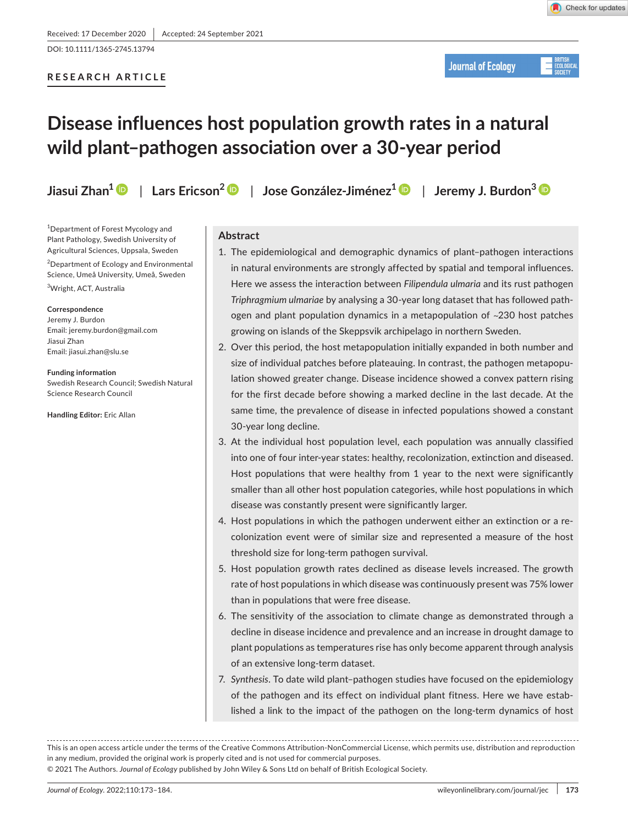DOI: 10.1111/1365-2745.13794

# **RESEARCH ARTICLE**

**Journal of Ecology** 

# **Disease influences host population growth rates in a natural wild plant–pathogen association over a 30-year period**

**Jiasui Zhan1** | **Lars Ericson[2](https://orcid.org/0000-0003-4799-7381)** | **Jose González-Jiménez[1](https://orcid.org/0000-0001-8373-0137)** | **Jeremy J. Burdon3**

<sup>1</sup>Department of Forest Mycology and Plant Pathology, Swedish University of Agricultural Sciences, Uppsala, Sweden

<sup>2</sup>Department of Ecology and Environmental Science, Umeå University, Umeå, Sweden

3 Wright, ACT, Australia

#### **Correspondence**

Jeremy J. Burdon Email: [jeremy.burdon@gmail.com](mailto:jeremy.burdon@gmail.com) Jiasui Zhan Email: [jiasui.zhan@slu.se](mailto:jiasui.zhan@slu.se)

**Funding information** Swedish Research Council; Swedish Natural Science Research Council

**Handling Editor:** Eric Allan

## **Abstract**

- 1. The epidemiological and demographic dynamics of plant–pathogen interactions in natural environments are strongly affected by spatial and temporal influences. Here we assess the interaction between *Filipendula ulmaria* and its rust pathogen *Triphragmium ulmariae* by analysing a 30-year long dataset that has followed pathogen and plant population dynamics in a metapopulation of ~230 host patches growing on islands of the Skeppsvik archipelago in northern Sweden.
- 2. Over this period, the host metapopulation initially expanded in both number and size of individual patches before plateauing. In contrast, the pathogen metapopulation showed greater change. Disease incidence showed a convex pattern rising for the first decade before showing a marked decline in the last decade. At the same time, the prevalence of disease in infected populations showed a constant 30-year long decline.
- 3. At the individual host population level, each population was annually classified into one of four inter-year states: healthy, recolonization, extinction and diseased. Host populations that were healthy from 1 year to the next were significantly smaller than all other host population categories, while host populations in which disease was constantly present were significantly larger.
- 4. Host populations in which the pathogen underwent either an extinction or a recolonization event were of similar size and represented a measure of the host threshold size for long-term pathogen survival.
- 5. Host population growth rates declined as disease levels increased. The growth rate of host populations in which disease was continuously present was 75% lower than in populations that were free disease.
- 6. The sensitivity of the association to climate change as demonstrated through a decline in disease incidence and prevalence and an increase in drought damage to plant populations as temperatures rise has only become apparent through analysis of an extensive long-term dataset.
- 7. *Synthesis*. To date wild plant–pathogen studies have focused on the epidemiology of the pathogen and its effect on individual plant fitness. Here we have established a link to the impact of the pathogen on the long-term dynamics of host

This is an open access article under the terms of the [Creative Commons Attribution-NonCommercial](http://creativecommons.org/licenses/by-nc/4.0/) License, which permits use, distribution and reproduction in any medium, provided the original work is properly cited and is not used for commercial purposes.

© 2021 The Authors. *Journal of Ecology* published by John Wiley & Sons Ltd on behalf of British Ecological Society.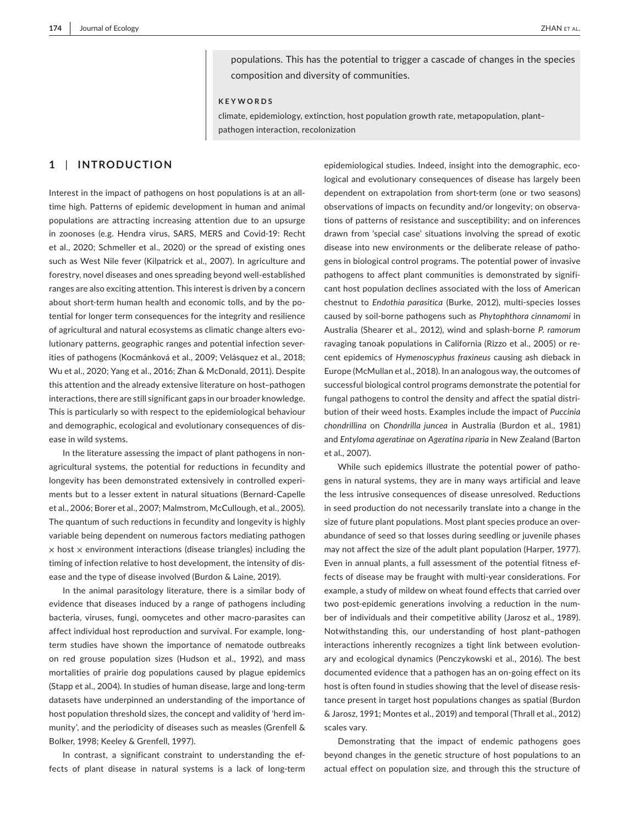populations. This has the potential to trigger a cascade of changes in the species composition and diversity of communities.

#### **KEYWORDS**

climate, epidemiology, extinction, host population growth rate, metapopulation, plant– pathogen interaction, recolonization

# **1** | **INTRODUCTION**

Interest in the impact of pathogens on host populations is at an alltime high. Patterns of epidemic development in human and animal populations are attracting increasing attention due to an upsurge in zoonoses (e.g. Hendra virus, SARS, MERS and Covid-19: Recht et al., 2020; Schmeller et al., 2020) or the spread of existing ones such as West Nile fever (Kilpatrick et al., 2007). In agriculture and forestry, novel diseases and ones spreading beyond well-established ranges are also exciting attention. This interest is driven by a concern about short-term human health and economic tolls, and by the potential for longer term consequences for the integrity and resilience of agricultural and natural ecosystems as climatic change alters evolutionary patterns, geographic ranges and potential infection severities of pathogens (Kocmánková et al., 2009; Velásquez et al., 2018; Wu et al., 2020; Yang et al., 2016; Zhan & McDonald, 2011). Despite this attention and the already extensive literature on host–pathogen interactions, there are still significant gaps in our broader knowledge. This is particularly so with respect to the epidemiological behaviour and demographic, ecological and evolutionary consequences of disease in wild systems.

In the literature assessing the impact of plant pathogens in nonagricultural systems, the potential for reductions in fecundity and longevity has been demonstrated extensively in controlled experiments but to a lesser extent in natural situations (Bernard-Capelle et al., 2006; Borer et al., 2007; Malmstrom, McCullough, et al., 2005). The quantum of such reductions in fecundity and longevity is highly variable being dependent on numerous factors mediating pathogen  $\times$  host  $\times$  environment interactions (disease triangles) including the timing of infection relative to host development, the intensity of disease and the type of disease involved (Burdon & Laine, 2019).

In the animal parasitology literature, there is a similar body of evidence that diseases induced by a range of pathogens including bacteria, viruses, fungi, oomycetes and other macro-parasites can affect individual host reproduction and survival. For example, longterm studies have shown the importance of nematode outbreaks on red grouse population sizes (Hudson et al., 1992), and mass mortalities of prairie dog populations caused by plague epidemics (Stapp et al., 2004). In studies of human disease, large and long-term datasets have underpinned an understanding of the importance of host population threshold sizes, the concept and validity of 'herd immunity', and the periodicity of diseases such as measles (Grenfell & Bolker, 1998; Keeley & Grenfell, 1997).

In contrast, a significant constraint to understanding the effects of plant disease in natural systems is a lack of long-term

epidemiological studies. Indeed, insight into the demographic, ecological and evolutionary consequences of disease has largely been dependent on extrapolation from short-term (one or two seasons) observations of impacts on fecundity and/or longevity; on observations of patterns of resistance and susceptibility; and on inferences drawn from 'special case' situations involving the spread of exotic disease into new environments or the deliberate release of pathogens in biological control programs. The potential power of invasive pathogens to affect plant communities is demonstrated by significant host population declines associated with the loss of American chestnut to *Endothia parasitica* (Burke, 2012), multi-species losses caused by soil-borne pathogens such as *Phytophthora cinnamomi* in Australia (Shearer et al., 2012), wind and splash-borne *P. ramorum* ravaging tanoak populations in California (Rizzo et al., 2005) or recent epidemics of *Hymenoscyphus fraxineus* causing ash dieback in Europe (McMullan et al., 2018). In an analogous way, the outcomes of successful biological control programs demonstrate the potential for fungal pathogens to control the density and affect the spatial distribution of their weed hosts. Examples include the impact of *Puccinia chondrillina* on *Chondrilla juncea* in Australia (Burdon et al., 1981) and *Entyloma ageratinae* on *Ageratina riparia* in New Zealand (Barton et al., 2007).

While such epidemics illustrate the potential power of pathogens in natural systems, they are in many ways artificial and leave the less intrusive consequences of disease unresolved. Reductions in seed production do not necessarily translate into a change in the size of future plant populations. Most plant species produce an overabundance of seed so that losses during seedling or juvenile phases may not affect the size of the adult plant population (Harper, 1977). Even in annual plants, a full assessment of the potential fitness effects of disease may be fraught with multi-year considerations. For example, a study of mildew on wheat found effects that carried over two post-epidemic generations involving a reduction in the number of individuals and their competitive ability (Jarosz et al., 1989). Notwithstanding this, our understanding of host plant–pathogen interactions inherently recognizes a tight link between evolutionary and ecological dynamics (Penczykowski et al., 2016). The best documented evidence that a pathogen has an on-going effect on its host is often found in studies showing that the level of disease resistance present in target host populations changes as spatial (Burdon & Jarosz, 1991; Montes et al., 2019) and temporal (Thrall et al., 2012) scales vary.

Demonstrating that the impact of endemic pathogens goes beyond changes in the genetic structure of host populations to an actual effect on population size, and through this the structure of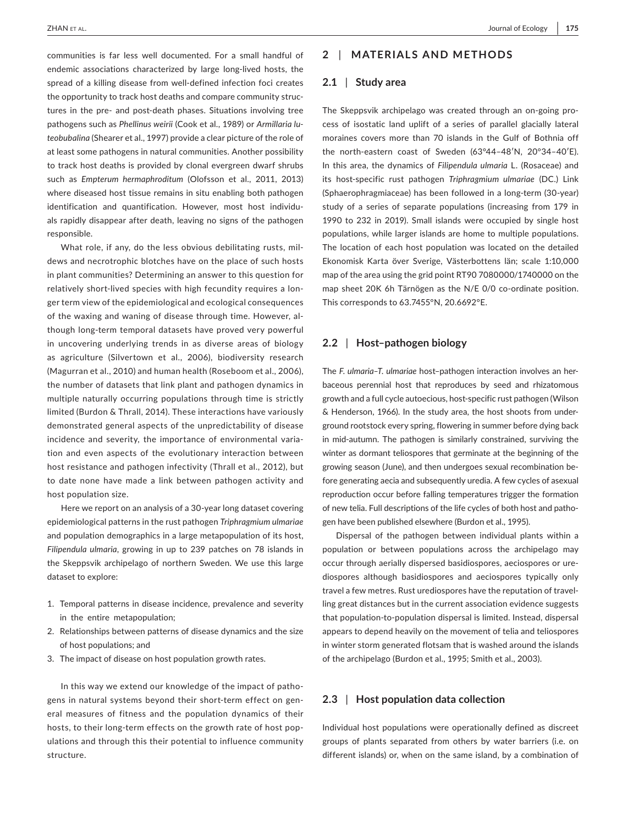communities is far less well documented. For a small handful of endemic associations characterized by large long-lived hosts, the spread of a killing disease from well-defined infection foci creates the opportunity to track host deaths and compare community structures in the pre- and post-death phases. Situations involving tree pathogens such as *Phellinus weirii* (Cook et al., 1989) or *Armillaria luteobubalina* (Shearer et al., 1997) provide a clear picture of the role of at least some pathogens in natural communities. Another possibility to track host deaths is provided by clonal evergreen dwarf shrubs such as *Empterum hermaphroditum* (Olofsson et al., 2011, 2013) where diseased host tissue remains in situ enabling both pathogen identification and quantification. However, most host individuals rapidly disappear after death, leaving no signs of the pathogen responsible.

What role, if any, do the less obvious debilitating rusts, mildews and necrotrophic blotches have on the place of such hosts in plant communities? Determining an answer to this question for relatively short-lived species with high fecundity requires a longer term view of the epidemiological and ecological consequences of the waxing and waning of disease through time. However, although long-term temporal datasets have proved very powerful in uncovering underlying trends in as diverse areas of biology as agriculture (Silvertown et al., 2006), biodiversity research (Magurran et al., 2010) and human health (Roseboom et al., 2006), the number of datasets that link plant and pathogen dynamics in multiple naturally occurring populations through time is strictly limited (Burdon & Thrall, 2014). These interactions have variously demonstrated general aspects of the unpredictability of disease incidence and severity, the importance of environmental variation and even aspects of the evolutionary interaction between host resistance and pathogen infectivity (Thrall et al., 2012), but to date none have made a link between pathogen activity and host population size.

Here we report on an analysis of a 30-year long dataset covering epidemiological patterns in the rust pathogen *Triphragmium ulmariae* and population demographics in a large metapopulation of its host, *Filipendula ulmaria*, growing in up to 239 patches on 78 islands in the Skeppsvik archipelago of northern Sweden. We use this large dataset to explore:

- 1. Temporal patterns in disease incidence, prevalence and severity in the entire metapopulation;
- 2. Relationships between patterns of disease dynamics and the size of host populations; and
- 3. The impact of disease on host population growth rates.

In this way we extend our knowledge of the impact of pathogens in natural systems beyond their short-term effect on general measures of fitness and the population dynamics of their hosts, to their long-term effects on the growth rate of host populations and through this their potential to influence community structure.

## **2** | **MATERIALS AND METHODS**

#### **2.1** | **Study area**

The Skeppsvik archipelago was created through an on-going process of isostatic land uplift of a series of parallel glacially lateral moraines covers more than 70 islands in the Gulf of Bothnia off the north-eastern coast of Sweden (63°44–48′N, 20°34–40′E). In this area, the dynamics of *Filipendula ulmaria* L. (Rosaceae) and its host-specific rust pathogen *Triphragmium ulmariae* (DC.) Link (Sphaerophragmiaceae) has been followed in a long-term (30-year) study of a series of separate populations (increasing from 179 in 1990 to 232 in 2019). Small islands were occupied by single host populations, while larger islands are home to multiple populations. The location of each host population was located on the detailed Ekonomisk Karta över Sverige, Västerbottens län; scale 1:10,000 map of the area using the grid point RT90 7080000/1740000 on the map sheet 20K 6h Tärnögen as the N/E 0/0 co-ordinate position. This corresponds to 63.7455°N, 20.6692°E.

## **2.2** | **Host–pathogen biology**

The *F. ulmaria–T*. *ulmariae* host–pathogen interaction involves an herbaceous perennial host that reproduces by seed and rhizatomous growth and a full cycle autoecious, host-specific rust pathogen (Wilson & Henderson, 1966). In the study area, the host shoots from underground rootstock every spring, flowering in summer before dying back in mid-autumn. The pathogen is similarly constrained, surviving the winter as dormant teliospores that germinate at the beginning of the growing season (June), and then undergoes sexual recombination before generating aecia and subsequently uredia. A few cycles of asexual reproduction occur before falling temperatures trigger the formation of new telia. Full descriptions of the life cycles of both host and pathogen have been published elsewhere (Burdon et al., 1995).

Dispersal of the pathogen between individual plants within a population or between populations across the archipelago may occur through aerially dispersed basidiospores, aeciospores or urediospores although basidiospores and aeciospores typically only travel a few metres. Rust urediospores have the reputation of travelling great distances but in the current association evidence suggests that population-to-population dispersal is limited. Instead, dispersal appears to depend heavily on the movement of telia and teliospores in winter storm generated flotsam that is washed around the islands of the archipelago (Burdon et al., 1995; Smith et al., 2003).

## **2.3** | **Host population data collection**

Individual host populations were operationally defined as discreet groups of plants separated from others by water barriers (i.e. on different islands) or, when on the same island, by a combination of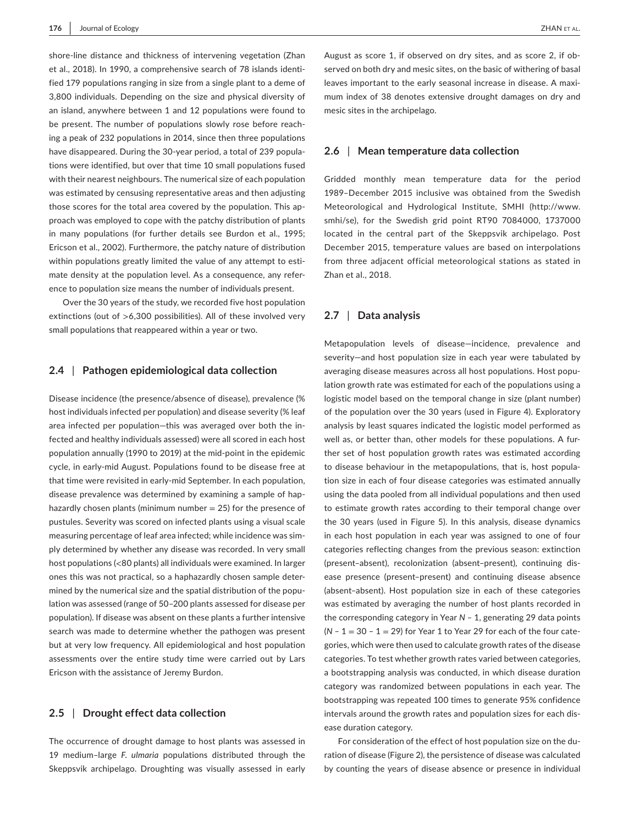shore-line distance and thickness of intervening vegetation (Zhan et al., 2018). In 1990, a comprehensive search of 78 islands identified 179 populations ranging in size from a single plant to a deme of 3,800 individuals. Depending on the size and physical diversity of an island, anywhere between 1 and 12 populations were found to be present. The number of populations slowly rose before reaching a peak of 232 populations in 2014, since then three populations have disappeared. During the 30-year period, a total of 239 populations were identified, but over that time 10 small populations fused with their nearest neighbours. The numerical size of each population was estimated by censusing representative areas and then adjusting those scores for the total area covered by the population. This approach was employed to cope with the patchy distribution of plants in many populations (for further details see Burdon et al., 1995; Ericson et al., 2002). Furthermore, the patchy nature of distribution within populations greatly limited the value of any attempt to estimate density at the population level. As a consequence, any reference to population size means the number of individuals present.

Over the 30 years of the study, we recorded five host population extinctions (out of >6,300 possibilities). All of these involved very small populations that reappeared within a year or two.

#### **2.4** | **Pathogen epidemiological data collection**

Disease incidence (the presence/absence of disease), prevalence (% host individuals infected per population) and disease severity (% leaf area infected per population—this was averaged over both the infected and healthy individuals assessed) were all scored in each host population annually (1990 to 2019) at the mid-point in the epidemic cycle, in early-mid August. Populations found to be disease free at that time were revisited in early-mid September. In each population, disease prevalence was determined by examining a sample of haphazardly chosen plants (minimum number  $= 25$ ) for the presence of pustules. Severity was scored on infected plants using a visual scale measuring percentage of leaf area infected; while incidence was simply determined by whether any disease was recorded. In very small host populations (<80 plants) all individuals were examined. In larger ones this was not practical, so a haphazardly chosen sample determined by the numerical size and the spatial distribution of the population was assessed (range of 50–200 plants assessed for disease per population). If disease was absent on these plants a further intensive search was made to determine whether the pathogen was present but at very low frequency. All epidemiological and host population assessments over the entire study time were carried out by Lars Ericson with the assistance of Jeremy Burdon.

## **2.5** | **Drought effect data collection**

The occurrence of drought damage to host plants was assessed in 19 medium–large *F. ulmaria* populations distributed through the Skeppsvik archipelago. Droughting was visually assessed in early August as score 1, if observed on dry sites, and as score 2, if observed on both dry and mesic sites, on the basic of withering of basal leaves important to the early seasonal increase in disease. A maximum index of 38 denotes extensive drought damages on dry and mesic sites in the archipelago.

#### **2.6** | **Mean temperature data collection**

Gridded monthly mean temperature data for the period 1989–December 2015 inclusive was obtained from the Swedish Meteorological and Hydrological Institute, SMHI ([http://www.](http://www.smhi/se) [smhi/se\)](http://www.smhi/se), for the Swedish grid point RT90 7084000, 1737000 located in the central part of the Skeppsvik archipelago. Post December 2015, temperature values are based on interpolations from three adjacent official meteorological stations as stated in Zhan et al., 2018.

## **2.7** | **Data analysis**

Metapopulation levels of disease—incidence, prevalence and severity—and host population size in each year were tabulated by averaging disease measures across all host populations. Host population growth rate was estimated for each of the populations using a logistic model based on the temporal change in size (plant number) of the population over the 30 years (used in Figure 4). Exploratory analysis by least squares indicated the logistic model performed as well as, or better than, other models for these populations. A further set of host population growth rates was estimated according to disease behaviour in the metapopulations, that is, host population size in each of four disease categories was estimated annually using the data pooled from all individual populations and then used to estimate growth rates according to their temporal change over the 30 years (used in Figure 5). In this analysis, disease dynamics in each host population in each year was assigned to one of four categories reflecting changes from the previous season: extinction (present–absent), recolonization (absent–present), continuing disease presence (present–present) and continuing disease absence (absent–absent). Host population size in each of these categories was estimated by averaging the number of host plants recorded in the corresponding category in Year N - 1, generating 29 data points  $(N - 1 = 30 - 1 = 29)$  for Year 1 to Year 29 for each of the four categories, which were then used to calculate growth rates of the disease categories. To test whether growth rates varied between categories, a bootstrapping analysis was conducted, in which disease duration category was randomized between populations in each year. The bootstrapping was repeated 100 times to generate 95% confidence intervals around the growth rates and population sizes for each disease duration category.

For consideration of the effect of host population size on the duration of disease (Figure 2), the persistence of disease was calculated by counting the years of disease absence or presence in individual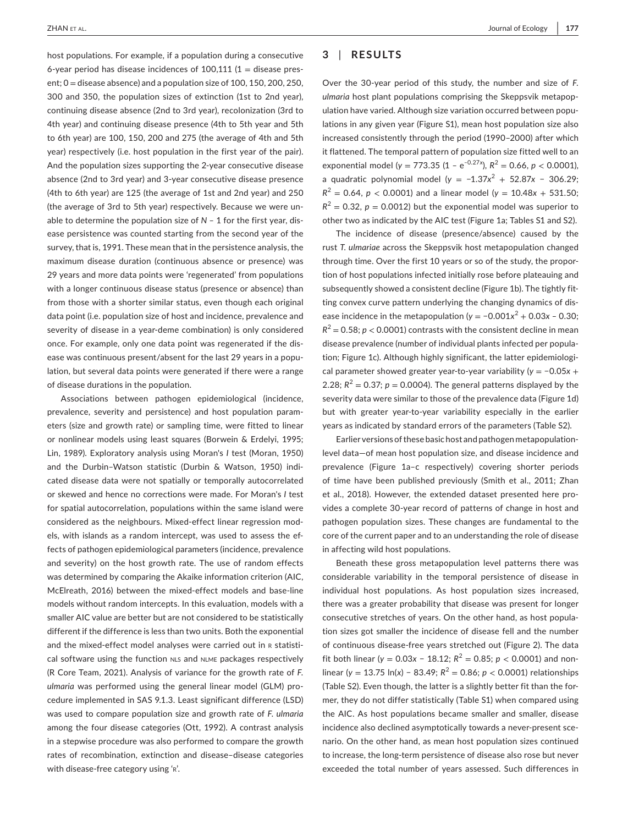host populations. For example, if a population during a consecutive 6-year period has disease incidences of  $100,111$  (1 = disease present; 0 = disease absence) and a population size of 100, 150, 200, 250, 300 and 350, the population sizes of extinction (1st to 2nd year), continuing disease absence (2nd to 3rd year), recolonization (3rd to 4th year) and continuing disease presence (4th to 5th year and 5th to 6th year) are 100, 150, 200 and 275 (the average of 4th and 5th year) respectively (i.e. host population in the first year of the pair). And the population sizes supporting the 2-year consecutive disease absence (2nd to 3rd year) and 3-year consecutive disease presence (4th to 6th year) are 125 (the average of 1st and 2nd year) and 250 (the average of 3rd to 5th year) respectively. Because we were unable to determine the population size of  $N - 1$  for the first year, disease persistence was counted starting from the second year of the survey, that is, 1991. These mean that in the persistence analysis, the maximum disease duration (continuous absence or presence) was 29 years and more data points were 'regenerated' from populations with a longer continuous disease status (presence or absence) than from those with a shorter similar status, even though each original data point (i.e. population size of host and incidence, prevalence and severity of disease in a year-deme combination) is only considered once. For example, only one data point was regenerated if the disease was continuous present/absent for the last 29 years in a population, but several data points were generated if there were a range of disease durations in the population.

Associations between pathogen epidemiological (incidence, prevalence, severity and persistence) and host population parameters (size and growth rate) or sampling time, were fitted to linear or nonlinear models using least squares (Borwein & Erdelyi, 1995; Lin, 1989). Exploratory analysis using Moran's *I* test (Moran, 1950) and the Durbin–Watson statistic (Durbin & Watson, 1950) indicated disease data were not spatially or temporally autocorrelated or skewed and hence no corrections were made. For Moran's *I* test for spatial autocorrelation, populations within the same island were considered as the neighbours. Mixed-effect linear regression models, with islands as a random intercept, was used to assess the effects of pathogen epidemiological parameters (incidence, prevalence and severity) on the host growth rate. The use of random effects was determined by comparing the Akaike information criterion (AIC, McElreath, 2016) between the mixed-effect models and base-line models without random intercepts. In this evaluation, models with a smaller AIC value are better but are not considered to be statistically different if the difference is less than two units. Both the exponential and the mixed-effect model analyses were carried out in R statistical software using the function NLS and NLME packages respectively (R Core Team, 2021). Analysis of variance for the growth rate of *F. ulmaria* was performed using the general linear model (GLM) procedure implemented in SAS 9.1.3. Least significant difference (LSD) was used to compare population size and growth rate of *F. ulmaria* among the four disease categories (Ott, 1992). A contrast analysis in a stepwise procedure was also performed to compare the growth rates of recombination, extinction and disease–disease categories with disease-free category using 'r'.

## **3** | **RESULTS**

Over the 30-year period of this study, the number and size of *F. ulmaria* host plant populations comprising the Skeppsvik metapopulation have varied. Although size variation occurred between populations in any given year (Figure S1), mean host population size also increased consistently through the period (1990–2000) after which it flattened. The temporal pattern of population size fitted well to an exponential model ( $y = 773.35$  (1 – e<sup>-0.27*x*</sup>),  $R^2 = 0.66$ ,  $p < 0.0001$ ), a quadratic polynomial model (*y* = −1.37*x*<sup>2</sup> + 52.87*x* − 306.29;  $R^{2} = 0.64$ ,  $p < 0.0001$ ) and a linear model ( $y = 10.48x + 531.50$ ;  $R^2 = 0.32$ ,  $p = 0.0012$ ) but the exponential model was superior to other two as indicated by the AIC test (Figure 1a; Tables S1 and S2).

The incidence of disease (presence/absence) caused by the rust *T. ulmariae* across the Skeppsvik host metapopulation changed through time. Over the first 10 years or so of the study, the proportion of host populations infected initially rose before plateauing and subsequently showed a consistent decline (Figure 1b). The tightly fitting convex curve pattern underlying the changing dynamics of disease incidence in the metapopulation ( $y = -0.001x^2 + 0.03x - 0.30$ ;  $R^2$  = 0.58; *p* < 0.0001) contrasts with the consistent decline in mean disease prevalence (number of individual plants infected per population; Figure 1c). Although highly significant, the latter epidemiological parameter showed greater year-to-year variability (*y* = −0.05*x* + 2.28;  $R^2 = 0.37$ ;  $p = 0.0004$ ). The general patterns displayed by the severity data were similar to those of the prevalence data (Figure 1d) but with greater year-to-year variability especially in the earlier years as indicated by standard errors of the parameters (Table S2).

Earlier versions of these basic host and pathogen metapopulationlevel data—of mean host population size, and disease incidence and prevalence (Figure 1a–c respectively) covering shorter periods of time have been published previously (Smith et al., 2011; Zhan et al., 2018). However, the extended dataset presented here provides a complete 30-year record of patterns of change in host and pathogen population sizes. These changes are fundamental to the core of the current paper and to an understanding the role of disease in affecting wild host populations.

Beneath these gross metapopulation level patterns there was considerable variability in the temporal persistence of disease in individual host populations. As host population sizes increased, there was a greater probability that disease was present for longer consecutive stretches of years. On the other hand, as host population sizes got smaller the incidence of disease fell and the number of continuous disease-free years stretched out (Figure 2). The data fit both linear ( $y = 0.03x - 18.12$ ;  $R^2 = 0.85$ ;  $p < 0.0001$ ) and nonlinear (*y* = 13.75 ln(*x*) − 83.49; *R*<sup>2</sup> = 0.86; *p* < 0.0001) relationships (Table S2). Even though, the latter is a slightly better fit than the former, they do not differ statistically (Table S1) when compared using the AIC. As host populations became smaller and smaller, disease incidence also declined asymptotically towards a never-present scenario. On the other hand, as mean host population sizes continued to increase, the long-term persistence of disease also rose but never exceeded the total number of years assessed. Such differences in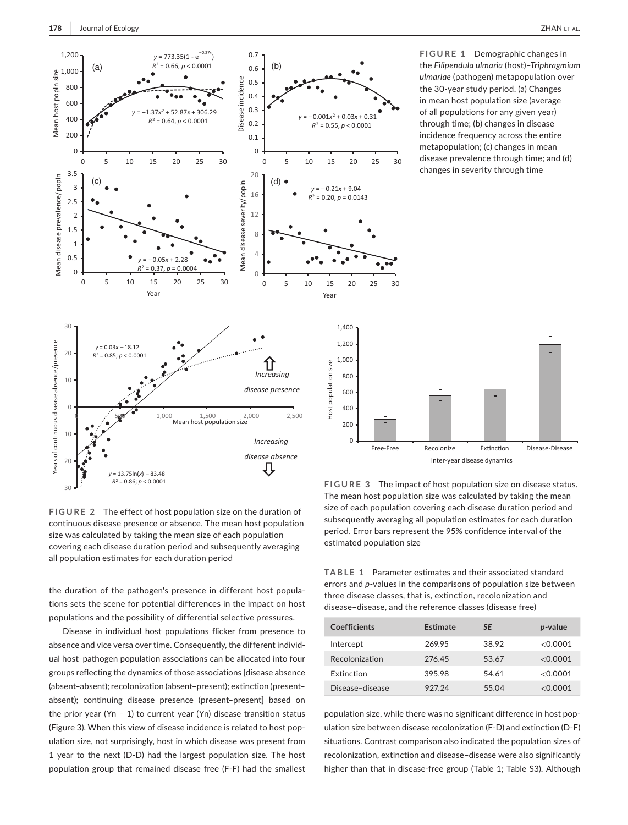

**FIGURE 1** Demographic changes in the *Filipendula ulmaria* (host)–*Triphragmium ulmariae* (pathogen) metapopulation over the 30-year study period. (a) Changes in mean host population size (average of all populations for any given year) through time; (b) changes in disease incidence frequency across the entire metapopulation; (c) changes in mean disease prevalence through time; and (d) changes in severity through time

**FIGURE 3** The impact of host population size on disease status. Free-Free Recolonize Extinction Disease-Disease Inter-year disease dynamics

**FIGURE 2** The effect of host population size on the duration of continuous disease presence or absence. The mean host population size was calculated by taking the mean size of each population covering each disease duration period and subsequently averaging all population estimates for each duration period

the duration of the pathogen's presence in different host populations sets the scene for potential differences in the impact on host populations and the possibility of differential selective pressures.

Disease in individual host populations flicker from presence to absence and vice versa over time. Consequently, the different individual host–pathogen population associations can be allocated into four groups reflecting the dynamics of those associations [disease absence (absent–absent); recolonization (absent–present); extinction (present– absent); continuing disease presence (present–present] based on the prior year (Yn - 1) to current year (Yn) disease transition status (Figure 3). When this view of disease incidence is related to host population size, not surprisingly, host in which disease was present from 1 year to the next (D-D) had the largest population size. The host population group that remained disease free (F-F) had the smallest

The mean host population size was calculated by taking the mean size of each population covering each disease duration period and subsequently averaging all population estimates for each duration period. Error bars represent the 95% confidence interval of the estimated population size

**TABLE 1** Parameter estimates and their associated standard errors and *p*-values in the comparisons of population size between three disease classes, that is, extinction, recolonization and disease–disease, and the reference classes (disease free)

| Coefficients      | Estimate | <b>SF</b> | p-value  |
|-------------------|----------|-----------|----------|
| Intercept         | 269.95   | 38.92     | <0.0001  |
| Recolonization    | 276.45   | 53.67     | < 0.0001 |
| <b>Extinction</b> | 395.98   | 54.61     | <0.0001  |
| Disease-disease   | 927.24   | 55.04     | < 0.0001 |

population size, while there was no significant difference in host population size between disease recolonization (F-D) and extinction (D-F) situations. Contrast comparison also indicated the population sizes of recolonization, extinction and disease–disease were also significantly higher than that in disease-free group (Table 1; Table S3). Although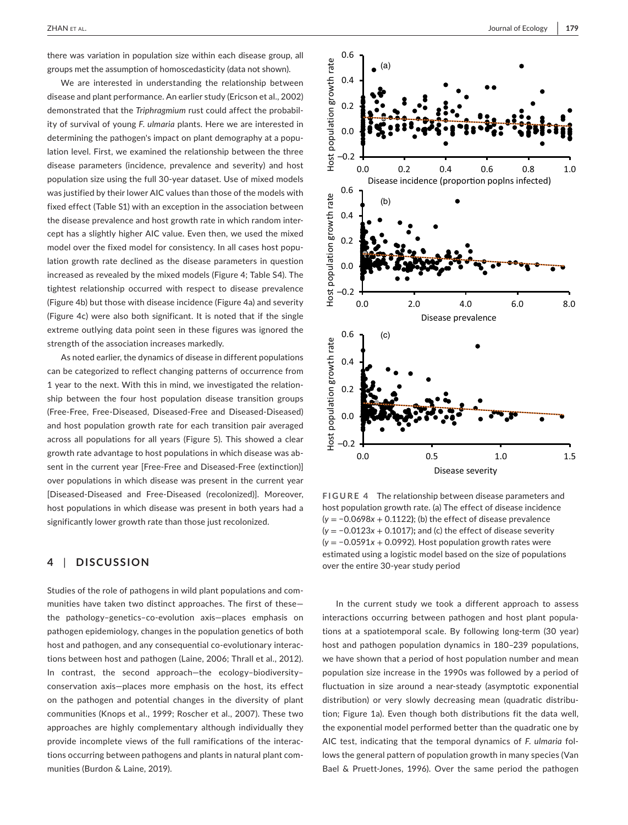there was variation in population size within each disease group, all groups met the assumption of homoscedasticity (data not shown).

We are interested in understanding the relationship between disease and plant performance. An earlier study (Ericson et al., 2002) demonstrated that the *Triphragmium* rust could affect the probability of survival of young *F*. *ulmaria* plants. Here we are interested in determining the pathogen's impact on plant demography at a population level. First, we examined the relationship between the three disease parameters (incidence, prevalence and severity) and host population size using the full 30-year dataset. Use of mixed models was justified by their lower AIC values than those of the models with fixed effect (Table S1) with an exception in the association between the disease prevalence and host growth rate in which random intercept has a slightly higher AIC value. Even then, we used the mixed model over the fixed model for consistency. In all cases host population growth rate declined as the disease parameters in question increased as revealed by the mixed models (Figure 4; Table S4). The tightest relationship occurred with respect to disease prevalence (Figure 4b) but those with disease incidence (Figure 4a) and severity (Figure 4c) were also both significant. It is noted that if the single extreme outlying data point seen in these figures was ignored the strength of the association increases markedly.

As noted earlier, the dynamics of disease in different populations can be categorized to reflect changing patterns of occurrence from 1 year to the next. With this in mind, we investigated the relationship between the four host population disease transition groups (Free-Free, Free-Diseased, Diseased-Free and Diseased-Diseased) and host population growth rate for each transition pair averaged across all populations for all years (Figure 5). This showed a clear growth rate advantage to host populations in which disease was absent in the current year [Free-Free and Diseased-Free (extinction)] over populations in which disease was present in the current year [Diseased-Diseased and Free-Diseased (recolonized)]. Moreover, host populations in which disease was present in both years had a significantly lower growth rate than those just recolonized.

# **4** | **DISCUSSION**

Studies of the role of pathogens in wild plant populations and communities have taken two distinct approaches. The first of these the pathology–genetics–co-evolution axis—places emphasis on pathogen epidemiology, changes in the population genetics of both host and pathogen, and any consequential co-evolutionary interactions between host and pathogen (Laine, 2006; Thrall et al., 2012). In contrast, the second approach—the ecology–biodiversity– conservation axis—places more emphasis on the host, its effect on the pathogen and potential changes in the diversity of plant communities (Knops et al., 1999; Roscher et al., 2007). These two approaches are highly complementary although individually they provide incomplete views of the full ramifications of the interactions occurring between pathogens and plants in natural plant communities (Burdon & Laine, 2019).



**FIGURE 4** The relationship between disease parameters and host population growth rate. (a) The effect of disease incidence (*y* = −0.0698*x* + 0.1122**)**; (b) the effect of disease prevalence (*y* = −0.0123*x* + 0.1017)**;** and (c) the effect of disease severity (*y* = −0.0591*x* + 0.0992). Host population growth rates were estimated using a logistic model based on the size of populations over the entire 30-year study period

In the current study we took a different approach to assess interactions occurring between pathogen and host plant populations at a spatiotemporal scale. By following long-term (30 year) host and pathogen population dynamics in 180–239 populations, we have shown that a period of host population number and mean population size increase in the 1990s was followed by a period of fluctuation in size around a near-steady (asymptotic exponential distribution) or very slowly decreasing mean (quadratic distribution; Figure 1a). Even though both distributions fit the data well, the exponential model performed better than the quadratic one by AIC test, indicating that the temporal dynamics of *F. ulmaria* follows the general pattern of population growth in many species (Van Bael & Pruett-Jones, 1996). Over the same period the pathogen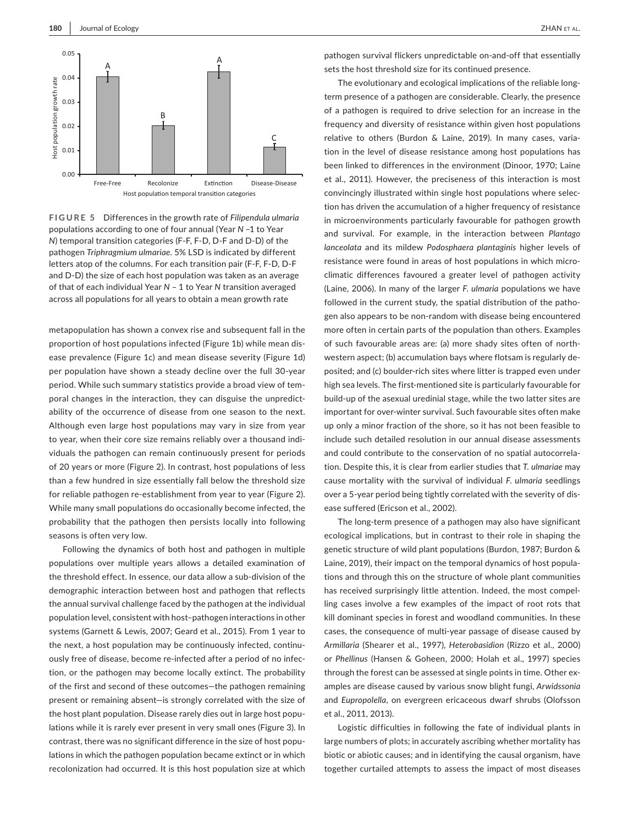

**FIGURE 5** Differences in the growth rate of *Filipendula ulmaria* populations according to one of four annual (Year *N* ‒1 to Year *N*) temporal transition categories (F-F, F-D, D-F and D-D) of the pathogen *Triphragmium ulmariae*. 5% LSD is indicated by different letters atop of the columns. For each transition pair (F-F, F-D, D-F and D-D) the size of each host population was taken as an average of that of each individual Year *N* ‒ 1 to Year *N* transition averaged across all populations for all years to obtain a mean growth rate

metapopulation has shown a convex rise and subsequent fall in the proportion of host populations infected (Figure 1b) while mean disease prevalence (Figure 1c) and mean disease severity (Figure 1d) per population have shown a steady decline over the full 30-year period. While such summary statistics provide a broad view of temporal changes in the interaction, they can disguise the unpredictability of the occurrence of disease from one season to the next. Although even large host populations may vary in size from year to year, when their core size remains reliably over a thousand individuals the pathogen can remain continuously present for periods of 20 years or more (Figure 2). In contrast, host populations of less than a few hundred in size essentially fall below the threshold size for reliable pathogen re-establishment from year to year (Figure 2). While many small populations do occasionally become infected, the probability that the pathogen then persists locally into following seasons is often very low.

Following the dynamics of both host and pathogen in multiple populations over multiple years allows a detailed examination of the threshold effect. In essence, our data allow a sub-division of the demographic interaction between host and pathogen that reflects the annual survival challenge faced by the pathogen at the individual population level, consistent with host–pathogen interactions in other systems (Garnett & Lewis, 2007; Geard et al., 2015). From 1 year to the next, a host population may be continuously infected, continuously free of disease, become re-infected after a period of no infection, or the pathogen may become locally extinct. The probability of the first and second of these outcomes—the pathogen remaining present or remaining absent—is strongly correlated with the size of the host plant population. Disease rarely dies out in large host populations while it is rarely ever present in very small ones (Figure 3). In contrast, there was no significant difference in the size of host populations in which the pathogen population became extinct or in which recolonization had occurred. It is this host population size at which

pathogen survival flickers unpredictable on-and-off that essentially sets the host threshold size for its continued presence.

The evolutionary and ecological implications of the reliable longterm presence of a pathogen are considerable. Clearly, the presence of a pathogen is required to drive selection for an increase in the frequency and diversity of resistance within given host populations relative to others (Burdon & Laine, 2019). In many cases, variation in the level of disease resistance among host populations has been linked to differences in the environment (Dinoor, 1970; Laine et al., 2011). However, the preciseness of this interaction is most convincingly illustrated within single host populations where selection has driven the accumulation of a higher frequency of resistance in microenvironments particularly favourable for pathogen growth and survival. For example, in the interaction between *Plantago lanceolata* and its mildew *Podosphaera plantaginis* higher levels of resistance were found in areas of host populations in which microclimatic differences favoured a greater level of pathogen activity (Laine, 2006). In many of the larger *F. ulmaria* populations we have followed in the current study, the spatial distribution of the pathogen also appears to be non-random with disease being encountered more often in certain parts of the population than others. Examples of such favourable areas are: (a) more shady sites often of northwestern aspect; (b) accumulation bays where flotsam is regularly deposited; and (c) boulder-rich sites where litter is trapped even under high sea levels. The first-mentioned site is particularly favourable for build-up of the asexual uredinial stage, while the two latter sites are important for over-winter survival. Such favourable sites often make up only a minor fraction of the shore, so it has not been feasible to include such detailed resolution in our annual disease assessments and could contribute to the conservation of no spatial autocorrelation. Despite this, it is clear from earlier studies that *T. ulmariae* may cause mortality with the survival of individual *F. ulmaria* seedlings over a 5-year period being tightly correlated with the severity of disease suffered (Ericson et al., 2002).

The long-term presence of a pathogen may also have significant ecological implications, but in contrast to their role in shaping the genetic structure of wild plant populations (Burdon, 1987; Burdon & Laine, 2019), their impact on the temporal dynamics of host populations and through this on the structure of whole plant communities has received surprisingly little attention. Indeed, the most compelling cases involve a few examples of the impact of root rots that kill dominant species in forest and woodland communities. In these cases, the consequence of multi-year passage of disease caused by *Armillaria* (Shearer et al., 1997), *Heterobasidion* (Rizzo et al., 2000) or *Phellinus* (Hansen & Goheen, 2000; Holah et al., 1997) species through the forest can be assessed at single points in time. Other examples are disease caused by various snow blight fungi, *Arwidssonia* and *Eupropolella*, on evergreen ericaceous dwarf shrubs (Olofsson et al., 2011, 2013).

Logistic difficulties in following the fate of individual plants in large numbers of plots; in accurately ascribing whether mortality has biotic or abiotic causes; and in identifying the causal organism, have together curtailed attempts to assess the impact of most diseases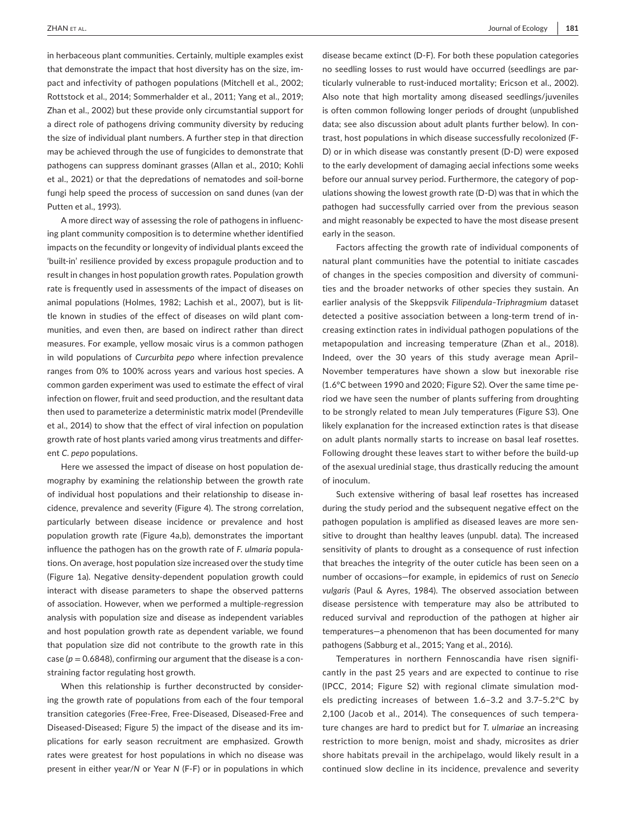in herbaceous plant communities. Certainly, multiple examples exist that demonstrate the impact that host diversity has on the size, impact and infectivity of pathogen populations (Mitchell et al., 2002; Rottstock et al., 2014; Sommerhalder et al., 2011; Yang et al., 2019; Zhan et al., 2002) but these provide only circumstantial support for a direct role of pathogens driving community diversity by reducing the size of individual plant numbers. A further step in that direction may be achieved through the use of fungicides to demonstrate that pathogens can suppress dominant grasses (Allan et al., 2010; Kohli et al., 2021) or that the depredations of nematodes and soil-borne fungi help speed the process of succession on sand dunes (van der Putten et al., 1993).

A more direct way of assessing the role of pathogens in influencing plant community composition is to determine whether identified impacts on the fecundity or longevity of individual plants exceed the 'built-in' resilience provided by excess propagule production and to result in changes in host population growth rates. Population growth rate is frequently used in assessments of the impact of diseases on animal populations (Holmes, 1982; Lachish et al., 2007), but is little known in studies of the effect of diseases on wild plant communities, and even then, are based on indirect rather than direct measures. For example, yellow mosaic virus is a common pathogen in wild populations of *Curcurbita pepo* where infection prevalence ranges from 0% to 100% across years and various host species. A common garden experiment was used to estimate the effect of viral infection on flower, fruit and seed production, and the resultant data then used to parameterize a deterministic matrix model (Prendeville et al., 2014) to show that the effect of viral infection on population growth rate of host plants varied among virus treatments and different *C. pepo* populations.

Here we assessed the impact of disease on host population demography by examining the relationship between the growth rate of individual host populations and their relationship to disease incidence, prevalence and severity (Figure 4). The strong correlation, particularly between disease incidence or prevalence and host population growth rate (Figure 4a,b), demonstrates the important influence the pathogen has on the growth rate of *F. ulmaria* populations. On average, host population size increased over the study time (Figure 1a). Negative density-dependent population growth could interact with disease parameters to shape the observed patterns of association. However, when we performed a multiple-regression analysis with population size and disease as independent variables and host population growth rate as dependent variable, we found that population size did not contribute to the growth rate in this case ( $p = 0.6848$ ), confirming our argument that the disease is a constraining factor regulating host growth.

When this relationship is further deconstructed by considering the growth rate of populations from each of the four temporal transition categories (Free-Free, Free-Diseased, Diseased-Free and Diseased-Diseased; Figure 5) the impact of the disease and its implications for early season recruitment are emphasized. Growth rates were greatest for host populations in which no disease was present in either year/*N* or Year *N* (F-F) or in populations in which

disease became extinct (D-F). For both these population categories no seedling losses to rust would have occurred (seedlings are particularly vulnerable to rust-induced mortality; Ericson et al., 2002). Also note that high mortality among diseased seedlings/juveniles is often common following longer periods of drought (unpublished data; see also discussion about adult plants further below). In contrast, host populations in which disease successfully recolonized (F-D) or in which disease was constantly present (D-D) were exposed to the early development of damaging aecial infections some weeks before our annual survey period. Furthermore, the category of populations showing the lowest growth rate (D-D) was that in which the pathogen had successfully carried over from the previous season and might reasonably be expected to have the most disease present early in the season.

Factors affecting the growth rate of individual components of natural plant communities have the potential to initiate cascades of changes in the species composition and diversity of communities and the broader networks of other species they sustain. An earlier analysis of the Skeppsvik *Filipendula–Triphragmium* dataset detected a positive association between a long-term trend of increasing extinction rates in individual pathogen populations of the metapopulation and increasing temperature (Zhan et al., 2018). Indeed, over the 30 years of this study average mean April– November temperatures have shown a slow but inexorable rise (1.6°C between 1990 and 2020; Figure S2). Over the same time period we have seen the number of plants suffering from droughting to be strongly related to mean July temperatures (Figure S3). One likely explanation for the increased extinction rates is that disease on adult plants normally starts to increase on basal leaf rosettes. Following drought these leaves start to wither before the build-up of the asexual uredinial stage, thus drastically reducing the amount of inoculum.

Such extensive withering of basal leaf rosettes has increased during the study period and the subsequent negative effect on the pathogen population is amplified as diseased leaves are more sensitive to drought than healthy leaves (unpubl. data). The increased sensitivity of plants to drought as a consequence of rust infection that breaches the integrity of the outer cuticle has been seen on a number of occasions—for example, in epidemics of rust on *Senecio vulgaris* (Paul & Ayres, 1984). The observed association between disease persistence with temperature may also be attributed to reduced survival and reproduction of the pathogen at higher air temperatures—a phenomenon that has been documented for many pathogens (Sabburg et al., 2015; Yang et al., 2016).

Temperatures in northern Fennoscandia have risen significantly in the past 25 years and are expected to continue to rise (IPCC, 2014; Figure S2) with regional climate simulation models predicting increases of between 1.6–3.2 and 3.7–5.2°C by 2,100 (Jacob et al., 2014). The consequences of such temperature changes are hard to predict but for *T. ulmariae* an increasing restriction to more benign, moist and shady, microsites as drier shore habitats prevail in the archipelago, would likely result in a continued slow decline in its incidence, prevalence and severity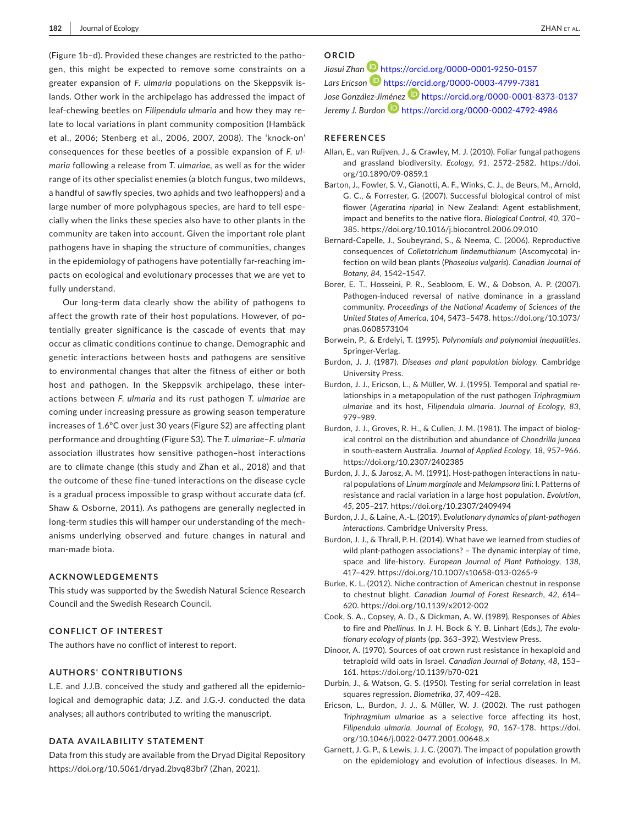(Figure 1b–d). Provided these changes are restricted to the pathogen, this might be expected to remove some constraints on a greater expansion of *F. ulmaria* populations on the Skeppsvik islands. Other work in the archipelago has addressed the impact of leaf-chewing beetles on *Filipendula ulmaria* and how they may relate to local variations in plant community composition (Hambäck et al., 2006; Stenberg et al., 2006, 2007, 2008). The 'knock-on' consequences for these beetles of a possible expansion of *F. ulmaria* following a release from *T. ulmariae,* as well as for the wider range of its other specialist enemies (a blotch fungus, two mildews, a handful of sawfly species, two aphids and two leafhoppers) and a large number of more polyphagous species, are hard to tell especially when the links these species also have to other plants in the community are taken into account. Given the important role plant pathogens have in shaping the structure of communities, changes in the epidemiology of pathogens have potentially far-reaching impacts on ecological and evolutionary processes that we are yet to fully understand.

Our long-term data clearly show the ability of pathogens to affect the growth rate of their host populations. However, of potentially greater significance is the cascade of events that may occur as climatic conditions continue to change. Demographic and genetic interactions between hosts and pathogens are sensitive to environmental changes that alter the fitness of either or both host and pathogen. In the Skeppsvik archipelago, these interactions between *F. ulmaria* and its rust pathogen *T. ulmariae* are coming under increasing pressure as growing season temperature increases of 1.6°C over just 30 years (Figure S2) are affecting plant performance and droughting (Figure S3). The *T. ulmariae*–*F. ulmaria* association illustrates how sensitive pathogen–host interactions are to climate change (this study and Zhan et al., 2018) and that the outcome of these fine-tuned interactions on the disease cycle is a gradual process impossible to grasp without accurate data (cf. Shaw & Osborne, 2011). As pathogens are generally neglected in long-term studies this will hamper our understanding of the mechanisms underlying observed and future changes in natural and man-made biota.

#### **ACKNOWLEDGEMENTS**

This study was supported by the Swedish Natural Science Research Council and the Swedish Research Council.

## **CONFLICT OF INTEREST**

The authors have no conflict of interest to report.

#### **AUTHORS' CONTRIBUTIONS**

L.E. and J.J.B. conceived the study and gathered all the epidemiological and demographic data; J.Z. and J.G.-J. conducted the data analyses; all authors contributed to writing the manuscript.

#### **DATA AVAILABILITY STATEMENT**

Data from this study are available from the Dryad Digital Repository <https://doi.org/10.5061/dryad.2bvq83br7> (Zhan, 2021).

# **ORCID**

*Jiasui Zhan* <https://orcid.org/0000-0001-9250-0157> *Lars Ericson* <https://orcid.org/0000-0003-4799-7381> *Jose González-Ji[méne](https://orcid.org/0000-0002-4792-4986)z* <https://orcid.org/0000-0001-8373-0137> *Jeremy J. Burdon* <https://orcid.org/0000-0002-4792-4986>

#### **REFERENCES**

- Allan, E., van Ruijven, J., & Crawley, M. J. (2010). Foliar fungal pathogens and grassland biodiversity. *Ecology*, *91*, 2572–2582. [https://doi.](https://doi.org/10.1890/09-0859.1) [org/10.1890/09-0859.1](https://doi.org/10.1890/09-0859.1)
- Barton, J., Fowler, S. V., Gianotti, A. F., Winks, C. J., de Beurs, M., Arnold, G. C., & Forrester, G. (2007). Successful biological control of mist flower (*Ageratina riparia*) in New Zealand: Agent establishment, impact and benefits to the native flora. *Biological Control*, *40*, 370– 385. <https://doi.org/10.1016/j.biocontrol.2006.09.010>
- Bernard-Capelle, J., Soubeyrand, S., & Neema, C. (2006). Reproductive consequences of *Colletotrichum lindemuthianum* (Ascomycota) infection on wild bean plants (*Phaseolus vulgaris*). *Canadian Journal of Botany*, *84*, 1542–1547.
- Borer, E. T., Hosseini, P. R., Seabloom, E. W., & Dobson, A. P. (2007). Pathogen-induced reversal of native dominance in a grassland community. *Proceedings of the National Academy of Sciences of the United States of America*, *104*, 5473–5478. [https://doi.org/10.1073/](https://doi.org/10.1073/pnas.0608573104) [pnas.0608573104](https://doi.org/10.1073/pnas.0608573104)
- Borwein, P., & Erdelyi, T. (1995). *Polynomials and polynomial inequalities*. Springer-Verlag.
- Burdon, J. J. (1987). *Diseases and plant population biology*. Cambridge University Press.
- Burdon, J. J., Ericson, L., & Müller, W. J. (1995). Temporal and spatial relationships in a metapopulation of the rust pathogen *Triphragmium ulmariae* and its host, *Filipendula ulmaria*. *Journal of Ecology*, *83*, 979–989.
- Burdon, J. J., Groves, R. H., & Cullen, J. M. (1981). The impact of biological control on the distribution and abundance of *Chondrilla juncea* in south-eastern Australia. *Journal of Applied Ecology*, *18*, 957–966. <https://doi.org/10.2307/2402385>
- Burdon, J. J., & Jarosz, A. M. (1991). Host-pathogen interactions in natural populations of *Linum marginale* and *Melampsora lini*: I. Patterns of resistance and racial variation in a large host population. *Evolution*, *45*, 205–217. <https://doi.org/10.2307/2409494>
- Burdon, J. J., & Laine, A.-L. (2019). *Evolutionary dynamics of plant-pathogen interactions*. Cambridge University Press.
- Burdon, J. J., & Thrall, P. H. (2014). What have we learned from studies of wild plant-pathogen associations? – The dynamic interplay of time, space and life-history. *European Journal of Plant Pathology*, *138*, 417–429.<https://doi.org/10.1007/s10658-013-0265-9>
- Burke, K. L. (2012). Niche contraction of American chestnut in response to chestnut blight. *Canadian Journal of Forest Research*, *42*, 614– 620.<https://doi.org/10.1139/x2012-002>
- Cook, S. A., Copsey, A. D., & Dickman, A. W. (1989). Responses of *Abies* to fire and *Phellinus*. In J. H. Bock & Y. B. Linhart (Eds.), *The evolutionary ecology of plants* (pp. 363–392). Westview Press.
- Dinoor, A. (1970). Sources of oat crown rust resistance in hexaploid and tetraploid wild oats in Israel. *Canadian Journal of Botany*, *48*, 153– 161. <https://doi.org/10.1139/b70-021>
- Durbin, J., & Watson, G. S. (1950). Testing for serial correlation in least squares regression. *Biometrika*, *37*, 409–428.
- Ericson, L., Burdon, J. J., & Müller, W. J. (2002). The rust pathogen *Triphragmium ulmariae* as a selective force affecting its host, *Filipendula ulmaria*. *Journal of Ecology*, *90*, 167–178. [https://doi.](https://doi.org/10.1046/j.0022-0477.2001.00648.x) [org/10.1046/j.0022-0477.2001.00648.x](https://doi.org/10.1046/j.0022-0477.2001.00648.x)
- Garnett, J. G. P., & Lewis, J. J. C. (2007). The impact of population growth on the epidemiology and evolution of infectious diseases. In M.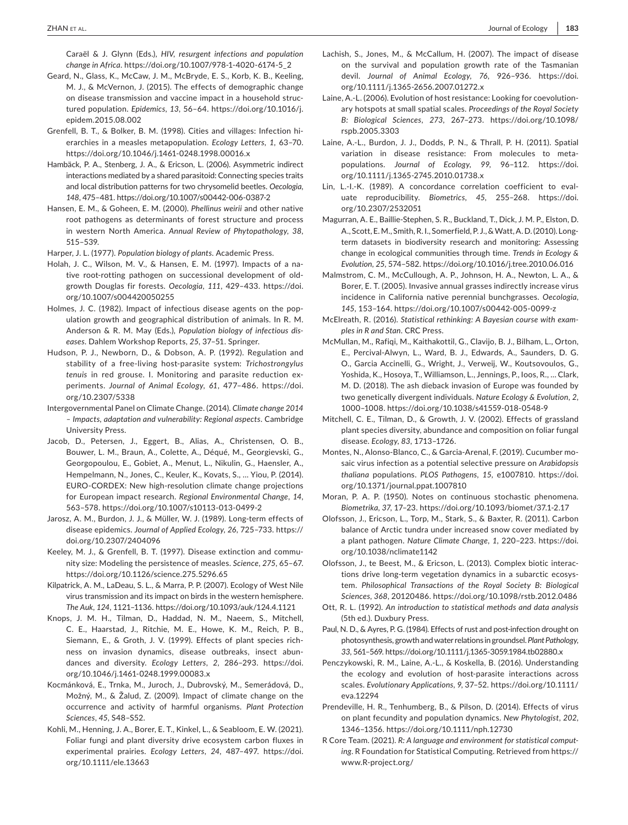Caraël & J. Glynn (Eds.), *HIV, resurgent infections and population change in Africa*. [https://doi.org/10.1007/978-1-4020-6174-5\\_2](https://doi.org/10.1007/978-1-4020-6174-5_2)

- Geard, N., Glass, K., McCaw, J. M., McBryde, E. S., Korb, K. B., Keeling, M. J., & McVernon, J. (2015). The effects of demographic change on disease transmission and vaccine impact in a household structured population. *Epidemics*, *13*, 56–64. [https://doi.org/10.1016/j.](https://doi.org/10.1016/j.epidem.2015.08.002) [epidem.2015.08.002](https://doi.org/10.1016/j.epidem.2015.08.002)
- Grenfell, B. T., & Bolker, B. M. (1998). Cities and villages: Infection hierarchies in a measles metapopulation. *Ecology Letters*, *1*, 63–70. <https://doi.org/10.1046/j.1461-0248.1998.00016.x>
- Hambäck, P. A., Stenberg, J. A., & Ericson, L. (2006). Asymmetric indirect interactions mediated by a shared parasitoid: Connecting species traits and local distribution patterns for two chrysomelid beetles. *Oecologia*, *148*, 475–481.<https://doi.org/10.1007/s00442-006-0387-2>
- Hansen, E. M., & Goheen, E. M. (2000). *Phellinus weirii* and other native root pathogens as determinants of forest structure and process in western North America. *Annual Review of Phytopathology*, *38*, 515–539.
- Harper, J. L. (1977). *Population biology of plants*. Academic Press.
- Holah, J. C., Wilson, M. V., & Hansen, E. M. (1997). Impacts of a native root-rotting pathogen on successional development of oldgrowth Douglas fir forests. *Oecologia*, *111*, 429–433. [https://doi.](https://doi.org/10.1007/s004420050255) [org/10.1007/s004420050255](https://doi.org/10.1007/s004420050255)
- Holmes, J. C. (1982). Impact of infectious disease agents on the population growth and geographical distribution of animals. In R. M. Anderson & R. M. May (Eds.), *Population biology of infectious diseases*. Dahlem Workshop Reports, *25*, 37–51. Springer.
- Hudson, P. J., Newborn, D., & Dobson, A. P. (1992). Regulation and stability of a free-living host-parasite system: *Trichostrongylus tenuis* in red grouse. I. Monitoring and parasite reduction experiments. *Journal of Animal Ecology*, *61*, 477–486. [https://doi.](https://doi.org/10.2307/5338) [org/10.2307/5338](https://doi.org/10.2307/5338)
- Intergovernmental Panel on Climate Change. (2014). *Climate change 2014 – Impacts, adaptation and vulnerability: Regional aspects*. Cambridge University Press.
- Jacob, D., Petersen, J., Eggert, B., Alias, A., Christensen, O. B., Bouwer, L. M., Braun, A., Colette, A., Déqué, M., Georgievski, G., Georgopoulou, E., Gobiet, A., Menut, L., Nikulin, G., Haensler, A., Hempelmann, N., Jones, C., Keuler, K., Kovats, S., … Yiou, P. (2014). EURO-CORDEX: New high-resolution climate change projections for European impact research. *Regional Environmental Change*, *14*, 563–578.<https://doi.org/10.1007/s10113-013-0499-2>
- Jarosz, A. M., Burdon, J. J., & Müller, W. J. (1989). Long-term effects of disease epidemics. *Journal of Applied Ecology*, *26*, 725–733. [https://](https://doi.org/10.2307/2404096) [doi.org/10.2307/2404096](https://doi.org/10.2307/2404096)
- Keeley, M. J., & Grenfell, B. T. (1997). Disease extinction and community size: Modeling the persistence of measles. *Science*, *275*, 65–67. <https://doi.org/10.1126/science.275.5296.65>
- Kilpatrick, A. M., LaDeau, S. L., & Marra, P. P. (2007). Ecology of West Nile virus transmission and its impact on birds in the western hemisphere. *The Auk*, *124*, 1121–1136. <https://doi.org/10.1093/auk/124.4.1121>
- Knops, J. M. H., Tilman, D., Haddad, N. M., Naeem, S., Mitchell, C. E., Haarstad, J., Ritchie, M. E., Howe, K. M., Reich, P. B., Siemann, E., & Groth, J. V. (1999). Effects of plant species richness on invasion dynamics, disease outbreaks, insect abundances and diversity. *Ecology Letters*, *2*, 286–293. [https://doi.](https://doi.org/10.1046/j.1461-0248.1999.00083.x) [org/10.1046/j.1461-0248.1999.00083.x](https://doi.org/10.1046/j.1461-0248.1999.00083.x)
- Kocmánková, E., Trnka, M., Juroch, J., Dubrovský, M., Semerádová, D., Možný, M., & Žalud, Z. (2009). Impact of climate change on the occurrence and activity of harmful organisms. *Plant Protection Sciences*, *45*, S48–S52.
- Kohli, M., Henning, J. A., Borer, E. T., Kinkel, L., & Seabloom, E. W. (2021). Foliar fungi and plant diversity drive ecosystem carbon fluxes in experimental prairies. *Ecology Letters*, *24*, 487–497. [https://doi.](https://doi.org/10.1111/ele.13663) [org/10.1111/ele.13663](https://doi.org/10.1111/ele.13663)
- Lachish, S., Jones, M., & McCallum, H. (2007). The impact of disease on the survival and population growth rate of the Tasmanian devil. *Journal of Animal Ecology*, *76*, 926–936. [https://doi.](https://doi.org/10.1111/j.1365-2656.2007.01272.x) [org/10.1111/j.1365-2656.2007.01272.x](https://doi.org/10.1111/j.1365-2656.2007.01272.x)
- Laine, A.-L. (2006). Evolution of host resistance: Looking for coevolutionary hotspots at small spatial scales. *Proceedings of the Royal Society B: Biological Sciences*, *273*, 267–273. [https://doi.org/10.1098/](https://doi.org/10.1098/rspb.2005.3303) [rspb.2005.3303](https://doi.org/10.1098/rspb.2005.3303)
- Laine, A.-L., Burdon, J. J., Dodds, P. N., & Thrall, P. H. (2011). Spatial variation in disease resistance: From molecules to metapopulations. *Journal of Ecology*, *99*, 96–112. [https://doi.](https://doi.org/10.1111/j.1365-2745.2010.01738.x) [org/10.1111/j.1365-2745.2010.01738.x](https://doi.org/10.1111/j.1365-2745.2010.01738.x)
- Lin, L.-I.-K. (1989). A concordance correlation coefficient to evaluate reproducibility. *Biometrics*, *45*, 255–268. [https://doi.](https://doi.org/10.2307/2532051) [org/10.2307/2532051](https://doi.org/10.2307/2532051)
- Magurran, A. E., Baillie-Stephen, S. R., Buckland, T., Dick, J. M. P., Elston, D. A., Scott, E. M., Smith, R. I., Somerfield, P. J., & Watt, A. D. (2010). Longterm datasets in biodiversity research and monitoring: Assessing change in ecological communities through time. *Trends in Ecology & Evolution*, *25*, 574–582.<https://doi.org/10.1016/j.tree.2010.06.016>
- Malmstrom, C. M., McCullough, A. P., Johnson, H. A., Newton, L. A., & Borer, E. T. (2005). Invasive annual grasses indirectly increase virus incidence in California native perennial bunchgrasses. *Oecologia*, *145*, 153–164. <https://doi.org/10.1007/s00442-005-0099-z>
- McElreath, R. (2016). *Statistical rethinking: A Bayesian course with examples in R and Stan*. CRC Press.
- McMullan, M., Rafiqi, M., Kaithakottil, G., Clavijo, B. J., Bilham, L., Orton, E., Percival-Alwyn, L., Ward, B. J., Edwards, A., Saunders, D. G. O., Garcia Accinelli, G., Wright, J., Verweij, W., Koutsovoulos, G., Yoshida, K., Hosoya, T., Williamson, L., Jennings, P., Ioos, R., … Clark, M. D. (2018). The ash dieback invasion of Europe was founded by two genetically divergent individuals. *Nature Ecology & Evolution*, *2*, 1000–1008.<https://doi.org/10.1038/s41559-018-0548-9>
- Mitchell, C. E., Tilman, D., & Growth, J. V. (2002). Effects of grassland plant species diversity, abundance and composition on foliar fungal disease. *Ecology*, *83*, 1713–1726.
- Montes, N., Alonso-Blanco, C., & Garcia-Arenal, F. (2019). Cucumber mosaic virus infection as a potential selective pressure on *Arabidopsis thaliana* populations. *PLOS Pathogens*, *15*, e1007810. [https://doi.](https://doi.org/10.1371/journal.ppat.1007810) [org/10.1371/journal.ppat.1007810](https://doi.org/10.1371/journal.ppat.1007810)
- Moran, P. A. P. (1950). Notes on continuous stochastic phenomena. *Biometrika*, *37*, 17–23.<https://doi.org/10.1093/biomet/37.1-2.17>
- Olofsson, J., Ericson, L., Torp, M., Stark, S., & Baxter, R. (2011). Carbon balance of Arctic tundra under increased snow cover mediated by a plant pathogen. *Nature Climate Change*, *1*, 220–223. [https://doi.](https://doi.org/10.1038/nclimate1142) [org/10.1038/nclimate1142](https://doi.org/10.1038/nclimate1142)
- Olofsson, J., te Beest, M., & Ericson, L. (2013). Complex biotic interactions drive long-term vegetation dynamics in a subarctic ecosystem. *Philosophical Transactions of the Royal Society B: Biological Sciences*, *368*, 20120486. <https://doi.org/10.1098/rstb.2012.0486>
- Ott, R. L. (1992). *An introduction to statistical methods and data analysis* (5th ed.). Duxbury Press.
- Paul, N. D., & Ayres, P. G. (1984). Effects of rust and post-infection drought on photosynthesis, growth and water relations in groundsel. *Plant Pathology*, *33*, 561–569. <https://doi.org/10.1111/j.1365-3059.1984.tb02880.x>
- Penczykowski, R. M., Laine, A.-L., & Koskella, B. (2016). Understanding the ecology and evolution of host-parasite interactions across scales. *Evolutionary Applications*, *9*, 37–52. [https://doi.org/10.1111/](https://doi.org/10.1111/eva.12294) [eva.12294](https://doi.org/10.1111/eva.12294)
- Prendeville, H. R., Tenhumberg, B., & Pilson, D. (2014). Effects of virus on plant fecundity and population dynamics. *New Phytologist*, *202*, 1346–1356. <https://doi.org/10.1111/nph.12730>
- R Core Team. (2021). *R: A language and environment for statistical computing*. R Foundation for Statistical Computing. Retrieved from [https://](https://www.R-project.org/) [www.R-project.org/](https://www.R-project.org/)